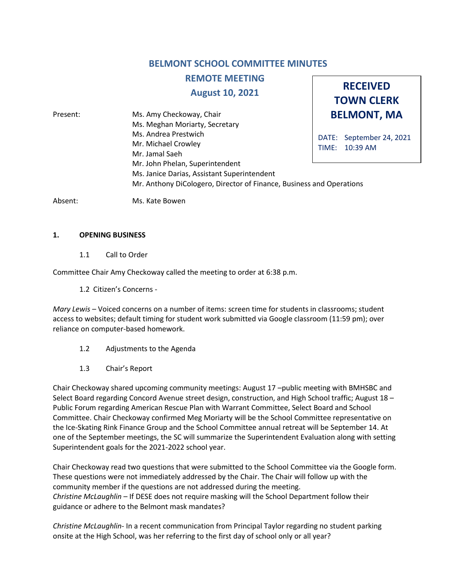# **BELMONT SCHOOL COMMITTEE MINUTES**

**RECEIVED TOWN CLERK**

# **REMOTE MEETING**

**August 10, 2021**

**BELMONT, MA** DATE: September 24, 2021 TIME: 10:39 AM Present: Ms. Amy Checkoway, Chair Ms. Meghan Moriarty, Secretary Ms. Andrea Prestwich Mr. Michael Crowley Mr. Jamal Saeh Mr. John Phelan, Superintendent Ms. Janice Darias, Assistant Superintendent Mr. Anthony DiCologero, Director of Finance, Business and Operations

Absent: Ms. Kate Bowen

#### **1. OPENING BUSINESS**

1.1 Call to Order

Committee Chair Amy Checkoway called the meeting to order at 6:38 p.m.

1.2 Citizen's Concerns -

*Mary Lewis* – Voiced concerns on a number of items: screen time for students in classrooms; student access to websites; default timing for student work submitted via Google classroom (11:59 pm); over reliance on computer-based homework.

- 1.2 Adjustments to the Agenda
- 1.3 Chair's Report

Chair Checkoway shared upcoming community meetings: August 17 –public meeting with BMHSBC and Select Board regarding Concord Avenue street design, construction, and High School traffic; August 18 – Public Forum regarding American Rescue Plan with Warrant Committee, Select Board and School Committee. Chair Checkoway confirmed Meg Moriarty will be the School Committee representative on the Ice-Skating Rink Finance Group and the School Committee annual retreat will be September 14. At one of the September meetings, the SC will summarize the Superintendent Evaluation along with setting Superintendent goals for the 2021-2022 school year.

Chair Checkoway read two questions that were submitted to the School Committee via the Google form. These questions were not immediately addressed by the Chair. The Chair will follow up with the community member if the questions are not addressed during the meeting. *Christine McLaughlin* – If DESE does not require masking will the School Department follow their guidance or adhere to the Belmont mask mandates?

*Christine McLaughlin*- In a recent communication from Principal Taylor regarding no student parking onsite at the High School, was her referring to the first day of school only or all year?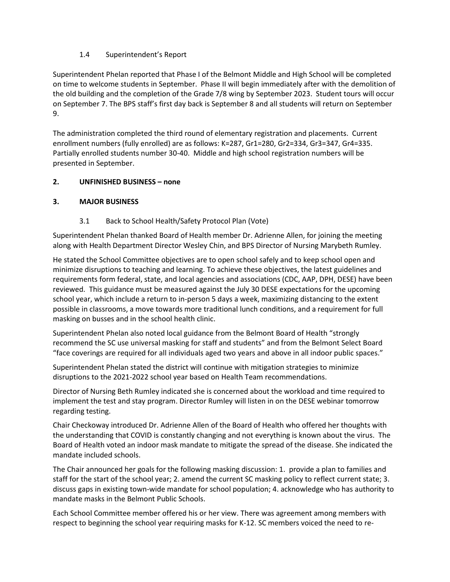# 1.4 Superintendent's Report

Superintendent Phelan reported that Phase I of the Belmont Middle and High School will be completed on time to welcome students in September. Phase II will begin immediately after with the demolition of the old building and the completion of the Grade 7/8 wing by September 2023. Student tours will occur on September 7. The BPS staff's first day back is September 8 and all students will return on September 9.

The administration completed the third round of elementary registration and placements. Current enrollment numbers (fully enrolled) are as follows: K=287, Gr1=280, Gr2=334, Gr3=347, Gr4=335. Partially enrolled students number 30-40. Middle and high school registration numbers will be presented in September.

## **2. UNFINISHED BUSINESS – none**

## **3. MAJOR BUSINESS**

## 3.1 Back to School Health/Safety Protocol Plan (Vote)

Superintendent Phelan thanked Board of Health member Dr. Adrienne Allen, for joining the meeting along with Health Department Director Wesley Chin, and BPS Director of Nursing Marybeth Rumley.

He stated the School Committee objectives are to open school safely and to keep school open and minimize disruptions to teaching and learning. To achieve these objectives, the latest guidelines and requirements form federal, state, and local agencies and associations (CDC, AAP, DPH, DESE) have been reviewed. This guidance must be measured against the July 30 DESE expectations for the upcoming school year, which include a return to in-person 5 days a week, maximizing distancing to the extent possible in classrooms, a move towards more traditional lunch conditions, and a requirement for full masking on busses and in the school health clinic.

Superintendent Phelan also noted local guidance from the Belmont Board of Health "strongly recommend the SC use universal masking for staff and students" and from the Belmont Select Board "face coverings are required for all individuals aged two years and above in all indoor public spaces."

Superintendent Phelan stated the district will continue with mitigation strategies to minimize disruptions to the 2021-2022 school year based on Health Team recommendations.

Director of Nursing Beth Rumley indicated she is concerned about the workload and time required to implement the test and stay program. Director Rumley will listen in on the DESE webinar tomorrow regarding testing.

Chair Checkoway introduced Dr. Adrienne Allen of the Board of Health who offered her thoughts with the understanding that COVID is constantly changing and not everything is known about the virus. The Board of Health voted an indoor mask mandate to mitigate the spread of the disease. She indicated the mandate included schools.

The Chair announced her goals for the following masking discussion: 1. provide a plan to families and staff for the start of the school year; 2. amend the current SC masking policy to reflect current state; 3. discuss gaps in existing town-wide mandate for school population; 4. acknowledge who has authority to mandate masks in the Belmont Public Schools.

Each School Committee member offered his or her view. There was agreement among members with respect to beginning the school year requiring masks for K-12. SC members voiced the need to re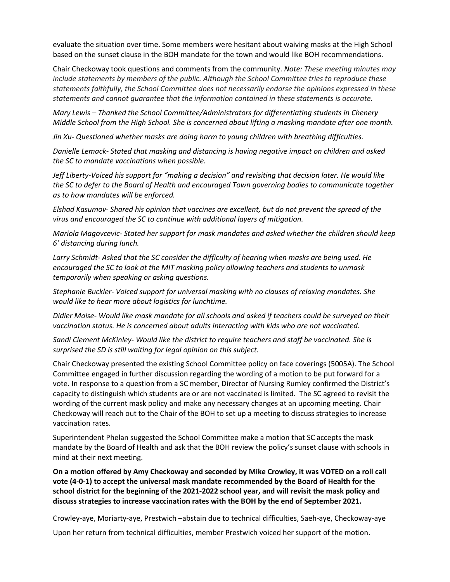evaluate the situation over time. Some members were hesitant about waiving masks at the High School based on the sunset clause in the BOH mandate for the town and would like BOH recommendations.

Chair Checkoway took questions and comments from the community. *Note: These meeting minutes may include statements by members of the public. Although the School Committee tries to reproduce these statements faithfully, the School Committee does not necessarily endorse the opinions expressed in these statements and cannot guarantee that the information contained in these statements is accurate.*

*Mary Lewis – Thanked the School Committee/Administrators for differentiating students in Chenery Middle School from the High School. She is concerned about lifting a masking mandate after one month.* 

*Jin Xu- Questioned whether masks are doing harm to young children with breathing difficulties.* 

*Danielle Lemack- Stated that masking and distancing is having negative impact on children and asked the SC to mandate vaccinations when possible.* 

*Jeff Liberty-Voiced his support for "making a decision" and revisiting that decision later. He would like the SC to defer to the Board of Health and encouraged Town governing bodies to communicate together as to how mandates will be enforced.*

*Elshad Kasumov- Shared his opinion that vaccines are excellent, but do not prevent the spread of the virus and encouraged the SC to continue with additional layers of mitigation.* 

*Mariola Magovcevic- Stated her support for mask mandates and asked whether the children should keep 6' distancing during lunch.* 

*Larry Schmidt- Asked that the SC consider the difficulty of hearing when masks are being used. He encouraged the SC to look at the MIT masking policy allowing teachers and students to unmask temporarily when speaking or asking questions.* 

*Stephanie Buckler- Voiced support for universal masking with no clauses of relaxing mandates. She would like to hear more about logistics for lunchtime.* 

*Didier Moise- Would like mask mandate for all schools and asked if teachers could be surveyed on their vaccination status. He is concerned about adults interacting with kids who are not vaccinated.* 

*Sandi Clement McKinley- Would like the district to require teachers and staff be vaccinated. She is surprised the SD is still waiting for legal opinion on this subject.* 

Chair Checkoway presented the existing School Committee policy on face coverings (5005A). The School Committee engaged in further discussion regarding the wording of a motion to be put forward for a vote. In response to a question from a SC member, Director of Nursing Rumley confirmed the District's capacity to distinguish which students are or are not vaccinated is limited. The SC agreed to revisit the wording of the current mask policy and make any necessary changes at an upcoming meeting. Chair Checkoway will reach out to the Chair of the BOH to set up a meeting to discuss strategies to increase vaccination rates.

Superintendent Phelan suggested the School Committee make a motion that SC accepts the mask mandate by the Board of Health and ask that the BOH review the policy's sunset clause with schools in mind at their next meeting.

**On a motion offered by Amy Checkoway and seconded by Mike Crowley, it was VOTED on a roll call vote (4-0-1) to accept the universal mask mandate recommended by the Board of Health for the school district for the beginning of the 2021-2022 school year, and will revisit the mask policy and discuss strategies to increase vaccination rates with the BOH by the end of September 2021.** 

Crowley-aye, Moriarty-aye, Prestwich –abstain due to technical difficulties, Saeh-aye, Checkoway-aye

Upon her return from technical difficulties, member Prestwich voiced her support of the motion.